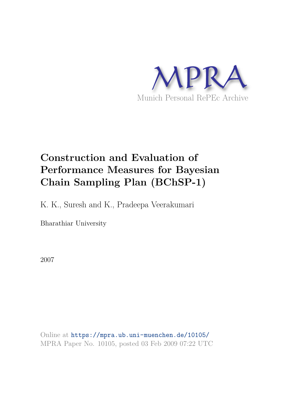

# **Construction and Evaluation of Performance Measures for Bayesian Chain Sampling Plan (BChSP-1)**

K. K., Suresh and K., Pradeepa Veerakumari

Bharathiar University

2007

Online at https://mpra.ub.uni-muenchen.de/10105/ MPRA Paper No. 10105, posted 03 Feb 2009 07:22 UTC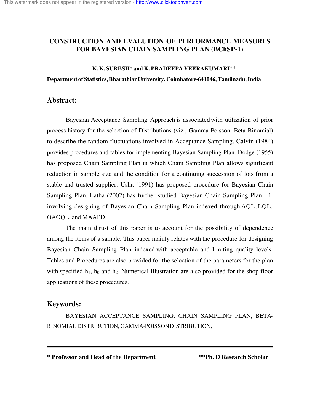# **CONSTRUCTION AND EVALUTION OF PERFORMANCE MEASURES FOR BAYESIAN CHAIN SAMPLING PLAN (BChSP-1)**

#### **K. K. SURESH\* and K. PRADEEPA VEERAKUMARI\*\***

**Department of Statistics, Bharathiar University, Coimbatore-641046, Tamilnadu, India**

### **Abstract:**

Bayesian Acceptance Sampling Approach is associated with utilization of prior process history for the selection of Distributions (viz., Gamma Poisson, Beta Binomial) to describe the random fluctuations involved in Acceptance Sampling. Calvin (1984) provides procedures and tables for implementing Bayesian Sampling Plan. Dodge (1955) has proposed Chain Sampling Plan in which Chain Sampling Plan allows significant reduction in sample size and the condition for a continuing succession of lots from a stable and trusted supplier. Usha (1991) has proposed procedure for Bayesian Chain Sampling Plan. Latha (2002) has further studied Bayesian Chain Sampling Plan – 1 involving designing of Bayesian Chain Sampling Plan indexed through AQL, LQL, OAOQL, and MAAPD.

The main thrust of this paper is to account for the possibility of dependence among the items of a sample. This paper mainly relates with the procedure for designing Bayesian Chain Sampling Plan indexed with acceptable and limiting quality levels. Tables and Procedures are also provided for the selection of the parameters for the plan with specified  $h_1$ ,  $h_0$  and  $h_2$ . Numerical Illustration are also provided for the shop floor applications of these procedures.

# **Keywords:**

BAYESIAN ACCEPTANCE SAMPLING, CHAIN SAMPLING PLAN, BETA-BINOMIAL DISTRIBUTION, GAMMA-POISSON DISTRIBUTION,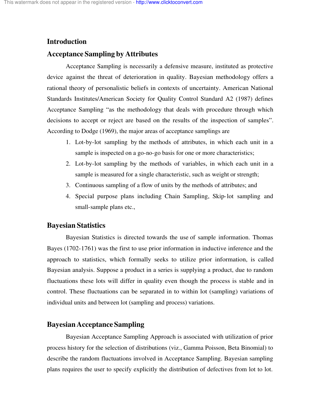### **Introduction**

# **Acceptance Sampling by Attributes**

Acceptance Sampling is necessarily a defensive measure, instituted as protective device against the threat of deterioration in quality. Bayesian methodology offers a rational theory of personalistic beliefs in contexts of uncertainty. American National Standards Institutes/American Society for Quality Control Standard A2 (1987) defines Acceptance Sampling "as the methodology that deals with procedure through which decisions to accept or reject are based on the results of the inspection of samples". According to Dodge (1969), the major areas of acceptance samplings are

- 1. Lot-by-lot sampling by the methods of attributes, in which each unit in a sample is inspected on a go-no-go basis for one or more characteristics;
- 2. Lot-by-lot sampling by the methods of variables, in which each unit in a sample is measured for a single characteristic, such as weight or strength;
- 3. Continuous sampling of a flow of units by the methods of attributes; and
- 4. Special purpose plans including Chain Sampling, Skip-lot sampling and small-sample plans etc.,

### **Bayesian Statistics**

Bayesian Statistics is directed towards the use of sample information. Thomas Bayes (1702-1761) was the first to use prior information in inductive inference and the approach to statistics, which formally seeks to utilize prior information, is called Bayesian analysis. Suppose a product in a series is supplying a product, due to random fluctuations these lots will differ in quality even though the process is stable and in control. These fluctuations can be separated in to within lot (sampling) variations of individual units and between lot (sampling and process) variations.

# **Bayesian Acceptance Sampling**

Bayesian Acceptance Sampling Approach is associated with utilization of prior process history for the selection of distributions (viz., Gamma Poisson, Beta Binomial) to describe the random fluctuations involved in Acceptance Sampling. Bayesian sampling plans requires the user to specify explicitly the distribution of defectives from lot to lot.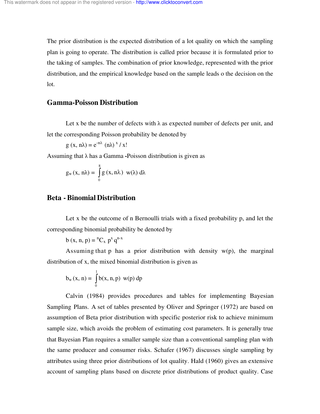The prior distribution is the expected distribution of a lot quality on which the sampling plan is going to operate. The distribution is called prior because it is formulated prior to the taking of samples. The combination of prior knowledge, represented with the prior distribution, and the empirical knowledge based on the sample leads o the decision on the lot.

### **Gamma-Poisson Distribution**

Let x be the number of defects with  $\lambda$  as expected number of defects per unit, and let the corresponding Poisson probability be denoted by

$$
g(x, n\lambda) = e^{-n\lambda} (n\lambda)^{x} / x!
$$

Assuming that λ has a Gamma **-**Poisson distribution is given as

$$
g_w(x, n\lambda) = \int_0^8 g(x, n\lambda) w(\lambda) d\lambda
$$

# **Beta - Binomial Distribution**

Let x be the outcome of n Bernoulli trials with a fixed probability p, and let the corresponding binomial probability be denoted by

$$
b(x, n, p) = {^n}C_x p^x q^{n-x}
$$

Assuming that  $p$  has a prior distribution with density  $w(p)$ , the marginal distribution of x, the mixed binomial distribution is given as

$$
b_w(x, n) = \int_0^1 b(x, n, p) w(p) dp
$$

Calvin (1984) provides procedures and tables for implementing Bayesian Sampling Plans. A set of tables presented by Oliver and Springer (1972) are based on assumption of Beta prior distribution with specific posterior risk to achieve minimum sample size, which avoids the problem of estimating cost parameters. It is generally true that Bayesian Plan requires a smaller sample size than a conventional sampling plan with the same producer and consumer risks. Schafer (1967) discusses single sampling by attributes using three prior distributions of lot quality. Hald (1960) gives an extensive account of sampling plans based on discrete prior distributions of product quality. Case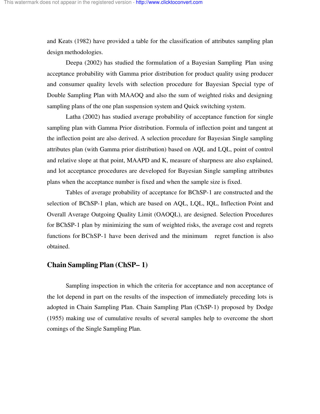and Keats (1982) have provided a table for the classification of attributes sampling plan design methodologies.

Deepa (2002) has studied the formulation of a Bayesian Sampling Plan using acceptance probability with Gamma prior distribution for product quality using producer and consumer quality levels with selection procedure for Bayesian Special type of Double Sampling Plan with MAAOQ and also the sum of weighted risks and designing sampling plans of the one plan suspension system and Quick switching system.

Latha (2002) has studied average probability of acceptance function for single sampling plan with Gamma Prior distribution. Formula of inflection point and tangent at the inflection point are also derived. A selection procedure for Bayesian Single sampling attributes plan (with Gamma prior distribution) based on AQL and LQL, point of control and relative slope at that point, MAAPD and K, measure of sharpness are also explained, and lot acceptance procedures are developed for Bayesian Single sampling attributes plans when the acceptance number is fixed and when the sample size is fixed.

Tables of average probability of acceptance for BChSP-1 are constructed and the selection of BChSP-1 plan, which are based on AQL, LQL, IQL, Inflection Point and Overall Average Outgoing Quality Limit (OAOQL), are designed. Selection Procedures for BChSP-1 plan by minimizing the sum of weighted risks, the average cost and regrets functions for BChSP-1 have been derived and the minimum regret function is also obtained.

# **Chain Sampling Plan (ChSP– 1)**

Sampling inspection in which the criteria for acceptance and non acceptance of the lot depend in part on the results of the inspection of immediately preceding lots is adopted in Chain Sampling Plan. Chain Sampling Plan (ChSP-1) proposed by Dodge (1955) making use of cumulative results of several samples help to overcome the short comings of the Single Sampling Plan.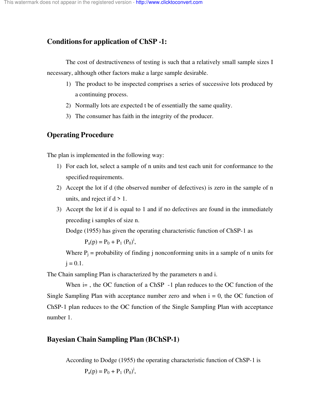# **Conditions for application of ChSP -1:**

The cost of destructiveness of testing is such that a relatively small sample sizes I necessary, although other factors make a large sample desirable.

- 1) The product to be inspected comprises a series of successive lots produced by a continuing process.
- 2) Normally lots are expected t be of essentially the same quality.
- 3) The consumer has faith in the integrity of the producer.

# **Operating Procedure**

The plan is implemented in the following way:

- 1) For each lot, select a sample of n units and test each unit for conformance to the specified requirements.
- 2) Accept the lot if d (the observed number of defectives) is zero in the sample of n units, and reject if  $d > 1$ .
- 3) Accept the lot if d is equal to 1 and if no defectives are found in the immediately preceding i samples of size n.

Dodge (1955) has given the operating characteristic function of ChSP-1 as

 $P_a(p) = P_0 + P_1 (P_0)^i$ ,

Where  $P_i$  = probability of finding j nonconforming units in a sample of n units for  $j = 0.1$ .

The Chain sampling Plan is characterized by the parameters n and i.

When  $i=$ , the OC function of a ChSP  $-1$  plan reduces to the OC function of the Single Sampling Plan with acceptance number zero and when  $i = 0$ , the OC function of ChSP-1 plan reduces to the OC function of the Single Sampling Plan with acceptance number 1.

# **Bayesian Chain Sampling Plan (BChSP-1)**

According to Dodge (1955) the operating characteristic function of ChSP-1 is  $P_a(p) = P_0 + P_1 (P_0)^i$ ,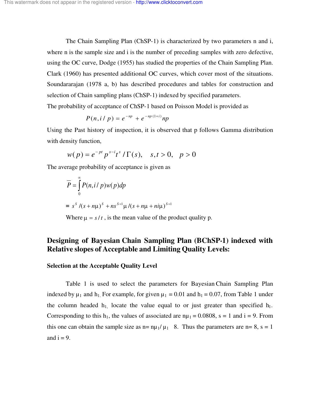The Chain Sampling Plan (ChSP-1) is characterized by two parameters n and i, where n is the sample size and i is the number of preceding samples with zero defective, using the OC curve, Dodge (1955) has studied the properties of the Chain Sampling Plan. Clark (1960) has presented additional OC curves, which cover most of the situations. Soundararajan (1978 a, b) has described procedures and tables for construction and selection of Chain sampling plans (ChSP-1) indexed by specified parameters. The probability of acceptance of ChSP-1 based on Poisson Model is provided as

$$
P(n, i / p) = e^{-np} + e^{-np (1+i)} np
$$

Using the Past history of inspection, it is observed that p follows Gamma distribution with density function,

$$
w(p) = e^{-pt} p^{s-i} t^s / \Gamma(s), \quad s, t > 0, \quad p > 0
$$

The average probability of acceptance is given as

$$
\overline{P} = \int_{0}^{\infty} P(n, i/p) w(p) dp
$$
  
=  $s^{s} / (s + n\mu)^{s} + ns^{s+1} \mu / (s + n\mu + ni\mu)^{s+1}$ 

Where  $\mu = s/t$ , is the mean value of the product quality p.

# **Designing of Bayesian Chain Sampling Plan (BChSP-1) indexed with Relative slopes of Acceptable and Limiting Quality Levels:**

#### **Selection at the Acceptable Quality Level**

Table 1 is used to select the parameters for Bayesian Chain Sampling Plan indexed by  $\mu_1$  and  $h_1$ . For example, for given  $\mu_1 = 0.01$  and  $h_1 = 0.07$ , from Table 1 under the column headed  $h_1$  locate the value equal to or just greater than specified  $h_1$ . Corresponding to this h<sub>1</sub>, the values of associated are  $n\mu_1 = 0.0808$ , s = 1 and i = 9. From this one can obtain the sample size as  $n= \frac{p_1}{\mu_1}$  8. Thus the parameters are  $n= 8$ , s = 1 and  $i = 9$ .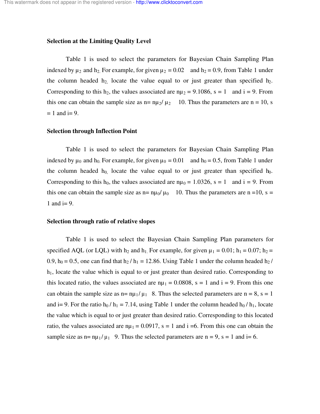#### **Selection at the Limiting Quality Level**

Table 1 is used to select the parameters for Bayesian Chain Sampling Plan indexed by  $\mu_2$  and  $\mu_2$ . For example, for given  $\mu_2 = 0.02$  and  $h_2 = 0.9$ , from Table 1 under the column headed  $h_2$  locate the value equal to or just greater than specified  $h_2$ . Corresponding to this h<sub>2</sub>, the values associated are  $n\mu_2 = 9.1086$ , s = 1 and i = 9. From this one can obtain the sample size as  $n = \frac{n\mu_2}{\mu_2}$  10. Thus the parameters are  $n = 10$ , s  $= 1$  and  $i = 9$ .

#### **Selection through Inflection Point**

Table 1 is used to select the parameters for Bayesian Chain Sampling Plan indexed by  $\mu_0$  and  $h_0$ . For example, for given  $\mu_0 = 0.01$  and  $h_0 = 0.5$ , from Table 1 under the column headed  $h_0$  locate the value equal to or just greater than specified  $h_0$ . Corresponding to this h<sub>0</sub>, the values associated are  $n\mu_0 = 1.0326$ , s = 1 and i = 9. From this one can obtain the sample size as  $n = \frac{n\mu_0}{\mu_0}$  10. Thus the parameters are n =10, s = 1 and  $i=9$ .

#### **Selection through ratio of relative slopes**

Table 1 is used to select the Bayesian Chain Sampling Plan parameters for specified AQL (or LQL) with h<sub>2</sub> and h<sub>1</sub>. For example, for given  $\mu_1 = 0.01$ ; h<sub>1</sub> = 0.07; h<sub>2</sub> = 0.9,  $h_0 = 0.5$ , one can find that  $h_2 / h_1 = 12.86$ . Using Table 1 under the column headed  $h_2 / h_1$  $h_1$ , locate the value which is equal to or just greater than desired ratio. Corresponding to this located ratio, the values associated are  $n\mu_1 = 0.0808$ , s = 1 and i = 9. From this one can obtain the sample size as  $n= \frac{nq_1}{\mu_1}$  8. Thus the selected parameters are  $n = 8$ , s = 1 and i= 9. For the ratio  $h_0 / h_1 = 7.14$ , using Table 1 under the column headed  $h_0 / h_1$ , locate the value which is equal to or just greater than desired ratio. Corresponding to this located ratio, the values associated are  $n\mu_1 = 0.0917$ , s = 1 and i =6. From this one can obtain the sample size as  $n = \frac{n\mu_1}{\mu_1}$  9. Thus the selected parameters are  $n = 9$ , s = 1 and i= 6.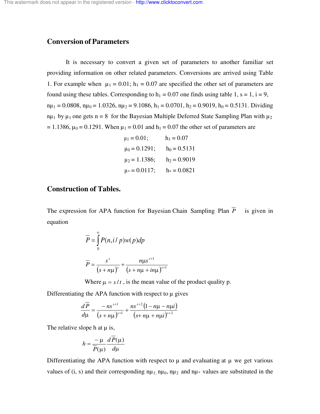# **Conversion of Parameters**

It is necessary to convert a given set of parameters to another familiar set providing information on other related parameters. Conversions are arrived using Table 1. For example when  $\mu_1 = 0.01$ ;  $h_1 = 0.07$  are specified the other set of parameters are found using these tables. Corresponding to  $h_1 = 0.07$  one finds using table 1, s = 1, i = 9,  $n\mu_1 = 0.0808$ ,  $n\mu_0 = 1.0326$ ,  $n\mu_2 = 9.1086$ ,  $h_1 = 0.0701$ ,  $h_2 = 0.9019$ ,  $h_0 = 0.5131$ . Dividing  $n\mu_1$  by  $\mu_1$  one gets n = 8 for the Bayesian Multiple Deferred State Sampling Plan with  $\mu_2$  $= 1.1386$ ,  $\mu_0 = 0.1291$ . When  $\mu_1 = 0.01$  and  $h_1 = 0.07$  the other set of parameters are

$$
\mu_1 = 0.01;
$$
  $h_1 = 0.07$   
\n $\mu_0 = 0.1291;$   $h_0 = 0.5131$   
\n $\mu_2 = 1.1386;$   $h_2 = 0.9019$   
\n $\mu_* = 0.0117;$   $h_* = 0.0821$ 

# **Construction of Tables.**

The expression for APA function for Bayesian Chain Sampling Plan  $\overline{P}$  is given in equation

$$
\overline{P} = \int_{0}^{\infty} P(n, i/p) w(p) dp
$$

$$
\overline{P} = \frac{s^{s}}{(s + n\mu)^{s}} + \frac{n\mu s^{s+1}}{(s + n\mu + i n\mu)^{s+1}}
$$

Where  $\mu = s/t$ , is the mean value of the product quality p.

Differentiating the APA function with respect to  $\mu$  gives

$$
\frac{d\overline{P}}{d\mu} = \frac{-ns^{s+1}}{(s+n\mu)^{s+1}} + \frac{ns^{s+2}(1-n\mu-n\mu i)}{(s+n\mu+n\mu i)^{s+2}}
$$

The relative slope h at  $\mu$  is,

$$
h = \frac{-\mu}{\overline{P}(\mu)} \frac{dP(\mu)}{d\mu}
$$

Differentiating the APA function with respect to  $\mu$  and evaluating at  $\mu$  we get various values of (i, s) and their corresponding  $n\mu_1$ ,  $n\mu_0$ ,  $n\mu_2$  and  $n\mu_*$  values are substituted in the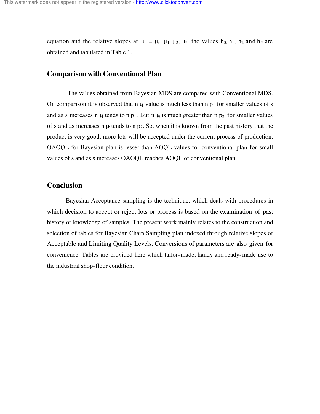equation and the relative slopes at  $\mu = \mu_0$ ,  $\mu_1$ ,  $\mu_2$ ,  $\mu_*$ , the values  $h_0$ ,  $h_1$ ,  $h_2$  and  $h_*$  are obtained and tabulated in Table 1.

#### **Comparison with Conventional Plan**

 The values obtained from Bayesian MDS are compared with Conventional MDS. On comparison it is observed that n  $\mu$  value is much less than n  $p_1$  for smaller values of s and as s increases n  $\mu$  tends to n p<sub>1</sub>. But n  $\mu$  is much greater than n p<sub>2</sub> for smaller values of s and as increases n  $\mu$  tends to n p<sub>2</sub>. So, when it is known from the past history that the product is very good, more lots will be accepted under the current process of production. OAOQL for Bayesian plan is lesser than AOQL values for conventional plan for small values of s and as s increases OAOQL reaches AOQL of conventional plan.

#### **Conclusion**

Bayesian Acceptance sampling is the technique, which deals with procedures in which decision to accept or reject lots or process is based on the examination of past history or knowledge of samples. The present work mainly relates to the construction and selection of tables for Bayesian Chain Sampling plan indexed through relative slopes of Acceptable and Limiting Quality Levels. Conversions of parameters are also given for convenience. Tables are provided here which tailor-made, handy and ready-made use to the industrial shop-floor condition.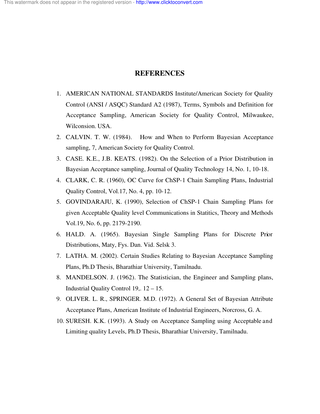# **REFERENCES**

- 1. AMERICAN NATIONAL STANDARDS Institute/American Society for Quality Control (ANSI / ASQC) Standard A2 (1987), Terms, Symbols and Definition for Acceptance Sampling, American Society for Quality Control, Milwaukee, Wilconsion. USA.
- 2. CALVIN. T. W. (1984). How and When to Perform Bayesian Acceptance sampling, 7, American Society for Quality Control.
- 3. CASE. K.E., J.B. KEATS. (1982). On the Selection of a Prior Distribution in Bayesian Acceptance sampling, Journal of Quality Technology 14, No. 1, 10-18.
- 4. CLARK, C. R. (1960), OC Curve for ChSP-1 Chain Sampling Plans, Industrial Quality Control, Vol.17, No. 4, pp. 10-12.
- 5. GOVINDARAJU, K. (1990), Selection of ChSP-1 Chain Sampling Plans for given Acceptable Quality level Communications in Statitics, Theory and Methods Vol.19, No. 6, pp. 2179-2190.
- 6. HALD. A. (1965). Bayesian Single Sampling Plans for Discrete Prior Distributions, Maty, Fys. Dan. Vid. Selsk 3.
- 7. LATHA. M. (2002). Certain Studies Relating to Bayesian Acceptance Sampling Plans, Ph.D Thesis, Bharathiar University, Tamilnadu.
- 8. MANDELSON. J. (1962). The Statistician, the Engineer and Sampling plans, Industrial Quality Control 19,. 12 – 15.
- 9. OLIVER. L. R., SPRINGER. M.D. (1972). A General Set of Bayesian Attribute Acceptance Plans, American Institute of Industrial Engineers, Norcross, G. A.
- 10. SURESH. K.K. (1993). A Study on Acceptance Sampling using Acceptable and Limiting quality Levels, Ph.D Thesis, Bharathiar University, Tamilnadu.